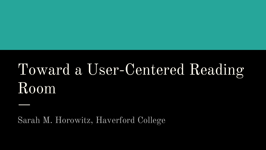# Toward a User-Centered Reading Room

Sarah M. Horowitz, Haverford College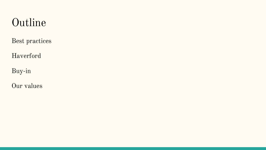## Outline

Best practices

Haverford

Buy-in

Our values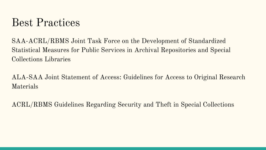#### Best Practices

SAA-ACRL/RBMS Joint Task Force on the Development of Standardized Statistical Measures for Public Services in Archival Repositories and Special Collections Libraries

ALA-SAA Joint Statement of Access: Guidelines for Access to Original Research Materials

ACRL/RBMS Guidelines Regarding Security and Theft in Special Collections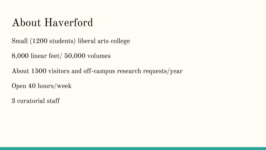## About Haverford

Small (1200 students) liberal arts college

8,000 linear feet/ 50,000 volumes

About 1500 visitors and off-campus research requests/year

Open 40 hours/week

3 curatorial staff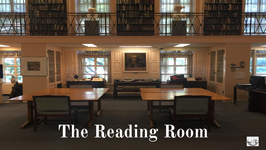# **The Reading Room**

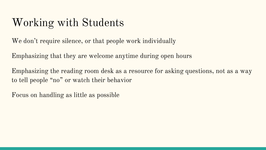# Working with Students

We don't require silence, or that people work individually

Emphasizing that they are welcome anytime during open hours

Emphasizing the reading room desk as a resource for asking questions, not as a way to tell people "no" or watch their behavior

Focus on handling as little as possible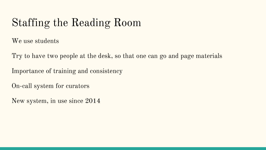# Staffing the Reading Room

We use students

Try to have two people at the desk, so that one can go and page materials

Importance of training and consistency

On-call system for curators

New system, in use since 2014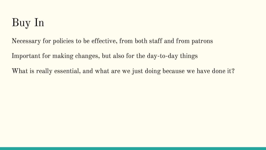# Buy In

Necessary for policies to be effective, from both staff and from patrons

Important for making changes, but also for the day-to-day things

What is really essential, and what are we just doing because we have done it?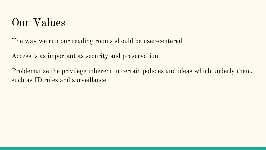#### Our Values

The way we run our reading rooms should be user-centered

Access is as important as security and preservation

Problematize the privilege inherent in certain policies and ideas which underly them, such as ID rules and surveillance